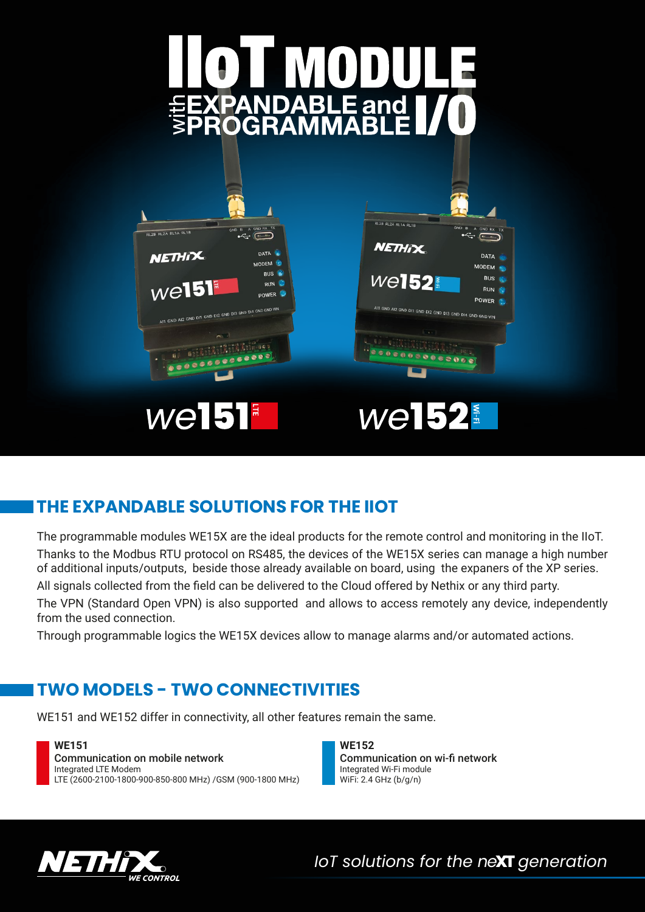

# **THE EXPANDABLE SOLUTIONS FOR THE IIOT**

The programmable modules WE15X are the ideal products for the remote control and monitoring in the IIoT. Thanks to the Modbus RTU protocol on RS485, the devices of the WE15X series can manage a high number of additional inputs/outputs, beside those already available on board, using the expaners of the XP series.

All signals collected from the field can be delivered to the Cloud offered by Nethix or any third party. The VPN (Standard Open VPN) is also supported and allows to access remotely any device, independently from the used connection.

Through programmable logics the WE15X devices allow to manage alarms and/or automated actions.

# **TWO MODELS - TWO CONNECTIVITIES**

WE151 and WE152 differ in connectivity, all other features remain the same.

**WE151** Communication on mobile network Integrated LTE Modem LTE (2600-2100-1800-900-850-800 MHz) /GSM (900-1800 MHz)

**WE152** Communication on wi-fi network Integrated Wi-Fi module WiFi: 2.4 GHz (b/g/n)



*IoT solutions for the ne***XT** *generation*